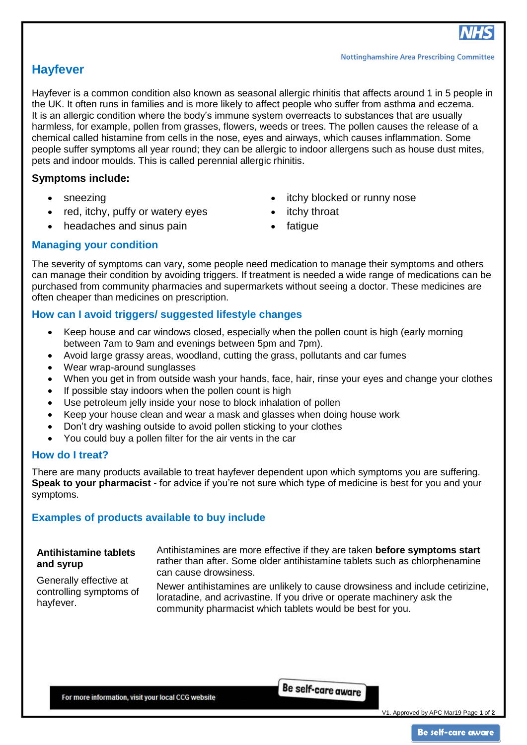# **Hayfever**

Hayfever is a common condition also known as seasonal allergic rhinitis that affects around 1 in 5 people in the UK. It often runs in families and is more likely to affect people who suffer from asthma and eczema. It is an allergic condition where the body's immune system overreacts to substances that are usually harmless, for example, pollen from grasses, flowers, weeds or trees. The pollen causes the release of a chemical called histamine from cells in the nose, eyes and airways, which causes inflammation. Some people suffer symptoms all year round; they can be allergic to indoor allergens such as house dust mites, pets and indoor moulds. This is called perennial allergic rhinitis.

## **Symptoms include:**

- sneezing
- red, itchy, puffy or watery eyes
- headaches and sinus pain
- itchy blocked or runny nose
- itchy throat
- fatique

## **Managing your condition**

The severity of symptoms can vary, some people need medication to manage their symptoms and others can manage their condition by avoiding triggers. If treatment is needed a wide range of medications can be purchased from community pharmacies and supermarkets without seeing a doctor. These medicines are often cheaper than medicines on prescription.

## **How can I avoid triggers/ suggested lifestyle changes**

- Keep house and car windows closed, especially when the pollen count is high (early morning between 7am to 9am and evenings between 5pm and 7pm).
- Avoid large grassy areas, woodland, cutting the grass, pollutants and car fumes
- Wear wrap-around sunglasses
- When you get in from outside wash your hands, face, hair, rinse your eyes and change your clothes
- If possible stay indoors when the pollen count is high
- Use petroleum jelly inside your nose to block inhalation of pollen
- Keep your house clean and wear a mask and glasses when doing house work
- Don't dry washing outside to avoid pollen sticking to your clothes
- You could buy a pollen filter for the air vents in the car

## **How do I treat?**

There are many products available to treat hayfever dependent upon which symptoms you are suffering. **Speak to your pharmacist** - for advice if you're not sure which type of medicine is best for you and your symptoms.

## **Examples of products available to buy include**

### **Antihistamine tablets and syrup**

Antihistamines are more effective if they are taken **before symptoms start** rather than after. Some older antihistamine tablets such as chlorphenamine can cause drowsiness.

Generally effective at controlling symptoms of hayfever.

Newer antihistamines are unlikely to cause drowsiness and include cetirizine, loratadine, and acrivastine. If you drive or operate machinery ask the community pharmacist which tablets would be best for you.

For more information, visit your local CCG website

Be self-care aware

V1. Approved by APC Mar19 Page **1** of **2**